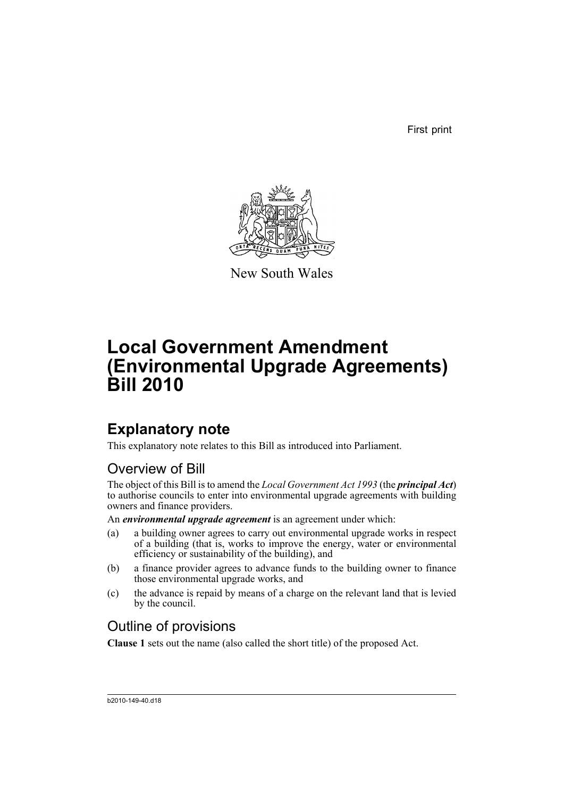First print



New South Wales

# **Local Government Amendment (Environmental Upgrade Agreements) Bill 2010**

# **Explanatory note**

This explanatory note relates to this Bill as introduced into Parliament.

## Overview of Bill

The object of this Bill is to amend the *Local Government Act 1993* (the *principal Act*) to authorise councils to enter into environmental upgrade agreements with building owners and finance providers.

An *environmental upgrade agreement* is an agreement under which:

- (a) a building owner agrees to carry out environmental upgrade works in respect of a building (that is, works to improve the energy, water or environmental efficiency or sustainability of the building), and
- (b) a finance provider agrees to advance funds to the building owner to finance those environmental upgrade works, and
- (c) the advance is repaid by means of a charge on the relevant land that is levied by the council.

## Outline of provisions

**Clause 1** sets out the name (also called the short title) of the proposed Act.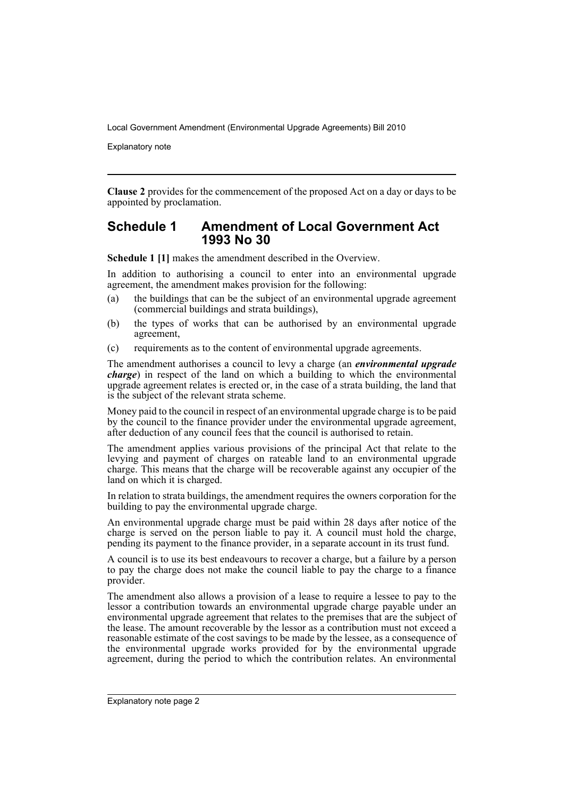Explanatory note

**Clause 2** provides for the commencement of the proposed Act on a day or days to be appointed by proclamation.

## **Schedule 1 Amendment of Local Government Act 1993 No 30**

**Schedule 1 [1]** makes the amendment described in the Overview.

In addition to authorising a council to enter into an environmental upgrade agreement, the amendment makes provision for the following:

- (a) the buildings that can be the subject of an environmental upgrade agreement (commercial buildings and strata buildings),
- (b) the types of works that can be authorised by an environmental upgrade agreement,
- (c) requirements as to the content of environmental upgrade agreements.

The amendment authorises a council to levy a charge (an *environmental upgrade charge*) in respect of the land on which a building to which the environmental upgrade agreement relates is erected or, in the case of a strata building, the land that is the subject of the relevant strata scheme.

Money paid to the council in respect of an environmental upgrade charge is to be paid by the council to the finance provider under the environmental upgrade agreement, after deduction of any council fees that the council is authorised to retain.

The amendment applies various provisions of the principal Act that relate to the levying and payment of charges on rateable land to an environmental upgrade charge. This means that the charge will be recoverable against any occupier of the land on which it is charged.

In relation to strata buildings, the amendment requires the owners corporation for the building to pay the environmental upgrade charge.

An environmental upgrade charge must be paid within 28 days after notice of the charge is served on the person liable to pay it. A council must hold the charge, pending its payment to the finance provider, in a separate account in its trust fund.

A council is to use its best endeavours to recover a charge, but a failure by a person to pay the charge does not make the council liable to pay the charge to a finance provider.

The amendment also allows a provision of a lease to require a lessee to pay to the lessor a contribution towards an environmental upgrade charge payable under an environmental upgrade agreement that relates to the premises that are the subject of the lease. The amount recoverable by the lessor as a contribution must not exceed a reasonable estimate of the cost savings to be made by the lessee, as a consequence of the environmental upgrade works provided for by the environmental upgrade agreement, during the period to which the contribution relates. An environmental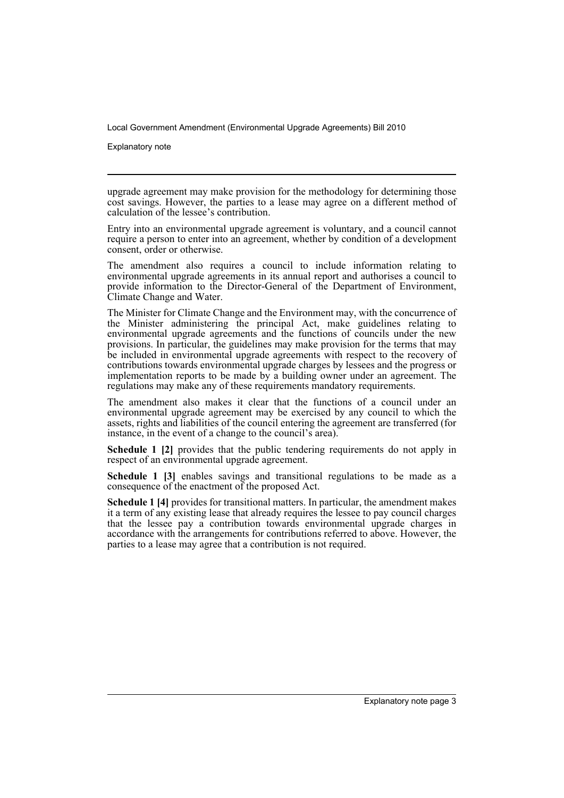Explanatory note

upgrade agreement may make provision for the methodology for determining those cost savings. However, the parties to a lease may agree on a different method of calculation of the lessee's contribution.

Entry into an environmental upgrade agreement is voluntary, and a council cannot require a person to enter into an agreement, whether by condition of a development consent, order or otherwise.

The amendment also requires a council to include information relating to environmental upgrade agreements in its annual report and authorises a council to provide information to the Director-General of the Department of Environment, Climate Change and Water.

The Minister for Climate Change and the Environment may, with the concurrence of the Minister administering the principal Act, make guidelines relating to environmental upgrade agreements and the functions of councils under the new provisions. In particular, the guidelines may make provision for the terms that may be included in environmental upgrade agreements with respect to the recovery of contributions towards environmental upgrade charges by lessees and the progress or implementation reports to be made by a building owner under an agreement. The regulations may make any of these requirements mandatory requirements.

The amendment also makes it clear that the functions of a council under an environmental upgrade agreement may be exercised by any council to which the assets, rights and liabilities of the council entering the agreement are transferred (for instance, in the event of a change to the council's area).

**Schedule 1 [2]** provides that the public tendering requirements do not apply in respect of an environmental upgrade agreement.

**Schedule 1 [3]** enables savings and transitional regulations to be made as a consequence of the enactment of the proposed Act.

**Schedule 1 [4]** provides for transitional matters. In particular, the amendment makes it a term of any existing lease that already requires the lessee to pay council charges that the lessee pay a contribution towards environmental upgrade charges in accordance with the arrangements for contributions referred to above. However, the parties to a lease may agree that a contribution is not required.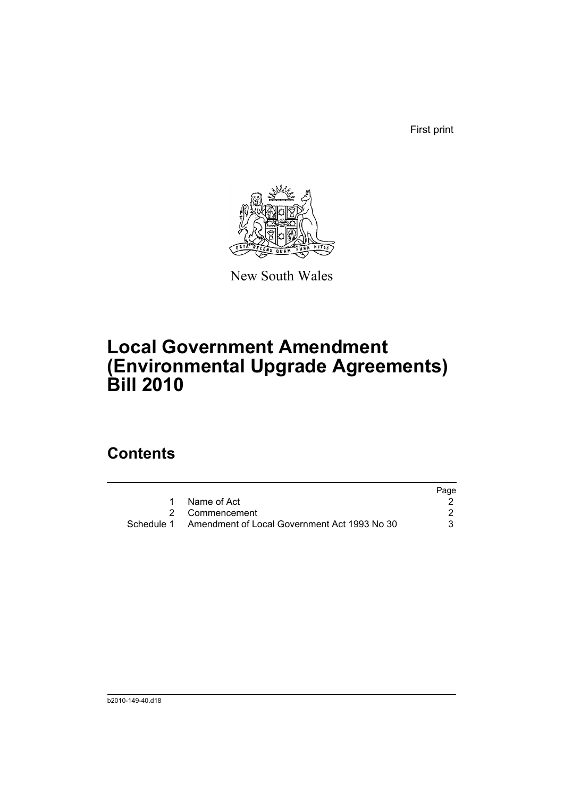First print



New South Wales

# **Local Government Amendment (Environmental Upgrade Agreements) Bill 2010**

# **Contents**

|                                                         | Page |
|---------------------------------------------------------|------|
| 1 Name of Act                                           |      |
| 2 Commencement                                          |      |
| Schedule 1 Amendment of Local Government Act 1993 No 30 | 3    |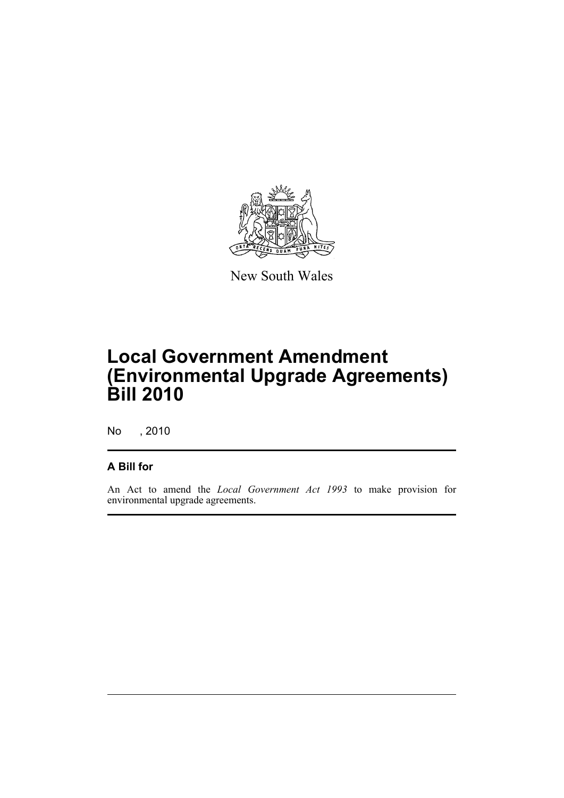

New South Wales

# **Local Government Amendment (Environmental Upgrade Agreements) Bill 2010**

No , 2010

## **A Bill for**

An Act to amend the *Local Government Act 1993* to make provision for environmental upgrade agreements.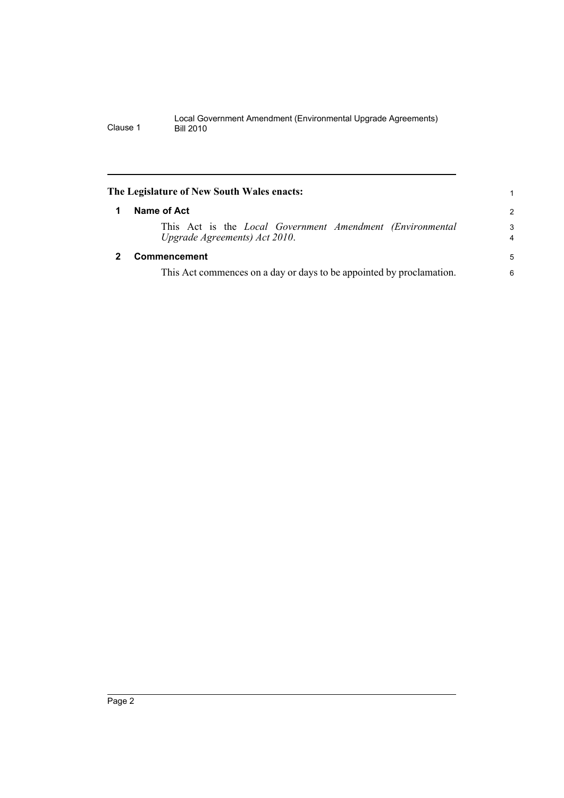<span id="page-7-1"></span><span id="page-7-0"></span>

| The Legislature of New South Wales enacts:                                                          |                     |  |  |  |
|-----------------------------------------------------------------------------------------------------|---------------------|--|--|--|
| Name of Act                                                                                         | 2                   |  |  |  |
| This Act is the <i>Local Government Amendment (Environmental</i> )<br>Upgrade Agreements) Act 2010. | 3<br>$\overline{4}$ |  |  |  |
| Commencement                                                                                        | 5                   |  |  |  |
| This Act commences on a day or days to be appointed by proclamation.                                | 6                   |  |  |  |
|                                                                                                     |                     |  |  |  |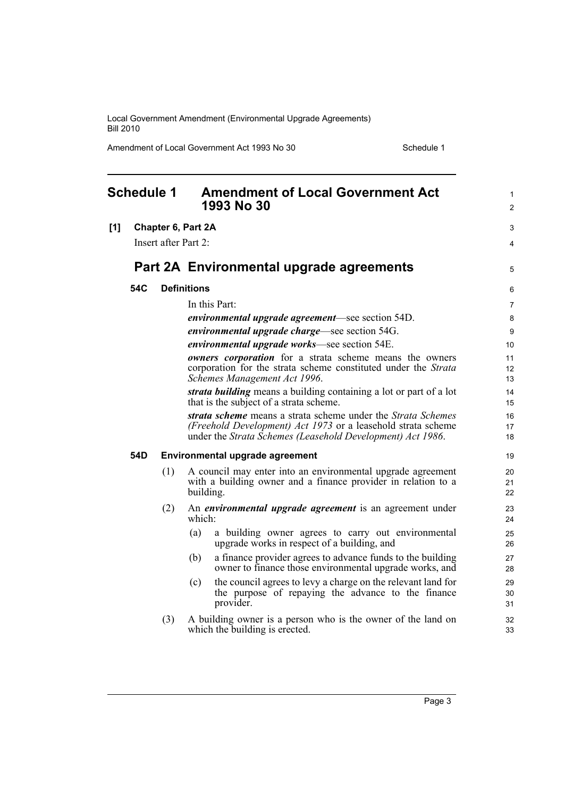Amendment of Local Government Act 1993 No 30 Schedule 1

<span id="page-8-0"></span>

| <b>Schedule 1</b> |                           | <b>Amendment of Local Government Act</b><br>1993 No 30                                                                                                                                     | 1<br>$\overline{2}$ |
|-------------------|---------------------------|--------------------------------------------------------------------------------------------------------------------------------------------------------------------------------------------|---------------------|
| [1]               | <b>Chapter 6, Part 2A</b> |                                                                                                                                                                                            | 3                   |
|                   | Insert after Part 2:      |                                                                                                                                                                                            | 4                   |
|                   |                           | Part 2A Environmental upgrade agreements                                                                                                                                                   | 5                   |
| 54C               |                           | <b>Definitions</b>                                                                                                                                                                         | 6                   |
|                   |                           | In this Part:                                                                                                                                                                              | 7                   |
|                   |                           | <i>environmental upgrade agreement—see section 54D.</i>                                                                                                                                    | 8                   |
|                   |                           | <i>environmental upgrade charge</i> —see section 54G.                                                                                                                                      | 9                   |
|                   |                           | <i>environmental upgrade works</i> —see section 54E.                                                                                                                                       | 10                  |
|                   |                           | owners corporation for a strata scheme means the owners<br>corporation for the strata scheme constituted under the Strata                                                                  | 11<br>12            |
|                   |                           | Schemes Management Act 1996.                                                                                                                                                               | 13                  |
|                   |                           | strata building means a building containing a lot or part of a lot<br>that is the subject of a strata scheme.                                                                              | 14<br>15            |
|                   |                           | strata scheme means a strata scheme under the Strata Schemes<br>(Freehold Development) Act 1973 or a leasehold strata scheme<br>under the Strata Schemes (Leasehold Development) Act 1986. | 16<br>17<br>18      |
| 54D               |                           | Environmental upgrade agreement                                                                                                                                                            | 19                  |
|                   | (1)                       | A council may enter into an environmental upgrade agreement<br>with a building owner and a finance provider in relation to a<br>building.                                                  | 20<br>21<br>22      |
|                   | (2)                       | An <i>environmental upgrade agreement</i> is an agreement under<br>which:                                                                                                                  | 23<br>24            |
|                   |                           | (a)<br>a building owner agrees to carry out environmental<br>upgrade works in respect of a building, and                                                                                   | 25<br>26            |
|                   |                           | a finance provider agrees to advance funds to the building<br>(b)<br>owner to finance those environmental upgrade works, and                                                               | 27<br>28            |
|                   |                           | the council agrees to levy a charge on the relevant land for<br>(c)<br>the purpose of repaying the advance to the finance<br>provider.                                                     | 29<br>30<br>31      |
|                   | (3)                       | A building owner is a person who is the owner of the land on<br>which the building is erected.                                                                                             | 32<br>33            |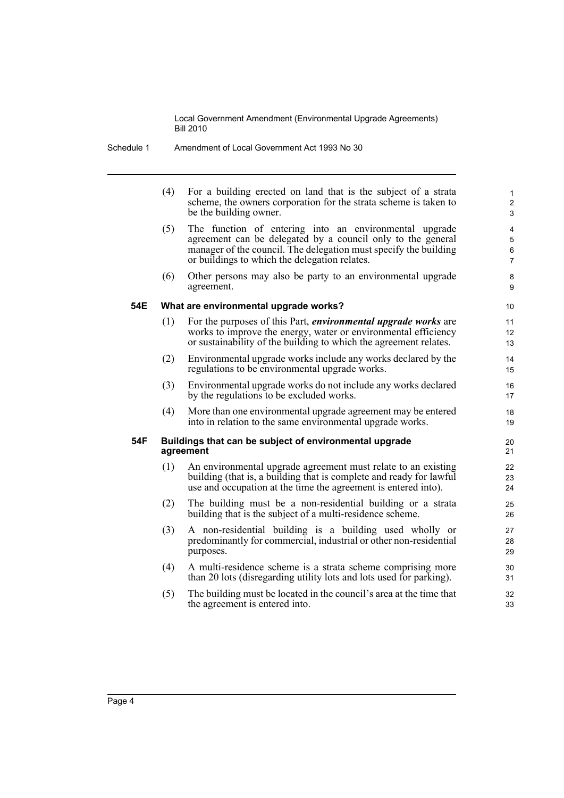| Schedule 1 | Amendment of Local Government Act 1993 No 30 |
|------------|----------------------------------------------|
|            |                                              |

|     | (4) | For a building erected on land that is the subject of a strata<br>scheme, the owners corporation for the strata scheme is taken to<br>be the building owner.                                                                               | 1<br>$\overline{c}$<br>$\ensuremath{\mathsf{3}}$ |
|-----|-----|--------------------------------------------------------------------------------------------------------------------------------------------------------------------------------------------------------------------------------------------|--------------------------------------------------|
|     | (5) | The function of entering into an environmental upgrade<br>agreement can be delegated by a council only to the general<br>manager of the council. The delegation must specify the building<br>or buildings to which the delegation relates. | 4<br>5<br>6<br>7                                 |
|     | (6) | Other persons may also be party to an environmental upgrade<br>agreement.                                                                                                                                                                  | 8<br>9                                           |
| 54E |     | What are environmental upgrade works?                                                                                                                                                                                                      | 10                                               |
|     | (1) | For the purposes of this Part, <i>environmental upgrade works</i> are<br>works to improve the energy, water or environmental efficiency<br>or sustainability of the building to which the agreement relates.                               | 11<br>12<br>13                                   |
|     | (2) | Environmental upgrade works include any works declared by the<br>regulations to be environmental upgrade works.                                                                                                                            | 14<br>15                                         |
|     | (3) | Environmental upgrade works do not include any works declared<br>by the regulations to be excluded works.                                                                                                                                  | 16<br>17                                         |
|     | (4) | More than one environmental upgrade agreement may be entered<br>into in relation to the same environmental upgrade works.                                                                                                                  | 18<br>19                                         |
| 54F |     | Buildings that can be subject of environmental upgrade<br>agreement                                                                                                                                                                        | 20<br>21                                         |
|     | (1) | An environmental upgrade agreement must relate to an existing<br>building (that is, a building that is complete and ready for lawful<br>use and occupation at the time the agreement is entered into).                                     | 22<br>23<br>24                                   |
|     | (2) | The building must be a non-residential building or a strata<br>building that is the subject of a multi-residence scheme.                                                                                                                   | 25<br>26                                         |
|     | (3) | A non-residential building is a building used wholly or<br>predominantly for commercial, industrial or other non-residential<br>purposes.                                                                                                  | 27<br>28<br>29                                   |
|     | (4) | A multi-residence scheme is a strata scheme comprising more<br>than 20 lots (disregarding utility lots and lots used for parking).                                                                                                         | 30<br>31                                         |
|     | (5) | The building must be located in the council's area at the time that<br>the agreement is entered into.                                                                                                                                      | 32<br>33                                         |
|     |     |                                                                                                                                                                                                                                            |                                                  |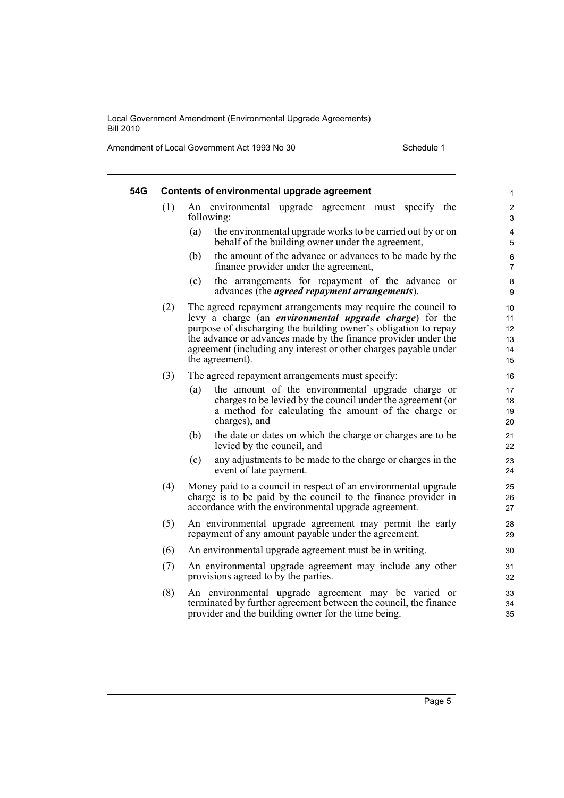Amendment of Local Government Act 1993 No 30 Schedule 1

| 54G |     | Contents of environmental upgrade agreement                                                                                                                                                                                                                                                                                                                 | $\mathbf{1}$                     |
|-----|-----|-------------------------------------------------------------------------------------------------------------------------------------------------------------------------------------------------------------------------------------------------------------------------------------------------------------------------------------------------------------|----------------------------------|
|     | (1) | An environmental upgrade agreement must specify the<br>following:                                                                                                                                                                                                                                                                                           | $\overline{\mathbf{c}}$<br>3     |
|     |     | (a)<br>the environmental upgrade works to be carried out by or on<br>behalf of the building owner under the agreement,                                                                                                                                                                                                                                      | 4<br>5                           |
|     |     | the amount of the advance or advances to be made by the<br>(b)<br>finance provider under the agreement,                                                                                                                                                                                                                                                     | $\,6\,$<br>7                     |
|     |     | the arrangements for repayment of the advance or<br>(c)<br>advances (the <i>agreed repayment arrangements</i> ).                                                                                                                                                                                                                                            | $\bf 8$<br>9                     |
|     | (2) | The agreed repayment arrangements may require the council to<br>levy a charge (an <i>environmental upgrade charge</i> ) for the<br>purpose of discharging the building owner's obligation to repay<br>the advance or advances made by the finance provider under the<br>agreement (including any interest or other charges payable under<br>the agreement). | 10<br>11<br>12<br>13<br>14<br>15 |
|     | (3) | The agreed repayment arrangements must specify:                                                                                                                                                                                                                                                                                                             | 16                               |
|     |     | the amount of the environmental upgrade charge or<br>(a)<br>charges to be levied by the council under the agreement (or<br>a method for calculating the amount of the charge or<br>charges), and                                                                                                                                                            | 17<br>18<br>19<br>20             |
|     |     | the date or dates on which the charge or charges are to be<br>(b)<br>levied by the council, and                                                                                                                                                                                                                                                             | 21<br>22                         |
|     |     | (c)<br>any adjustments to be made to the charge or charges in the<br>event of late payment.                                                                                                                                                                                                                                                                 | 23<br>24                         |
|     | (4) | Money paid to a council in respect of an environmental upgrade<br>charge is to be paid by the council to the finance provider in<br>accordance with the environmental upgrade agreement.                                                                                                                                                                    | 25<br>26<br>27                   |
|     | (5) | An environmental upgrade agreement may permit the early<br>repayment of any amount payable under the agreement.                                                                                                                                                                                                                                             | 28<br>29                         |
|     | (6) | An environmental upgrade agreement must be in writing.                                                                                                                                                                                                                                                                                                      | 30                               |
|     | (7) | An environmental upgrade agreement may include any other<br>provisions agreed to by the parties.                                                                                                                                                                                                                                                            | 31<br>32                         |
|     | (8) | An environmental upgrade agreement may be varied or<br>terminated by further agreement between the council, the finance<br>provider and the building owner for the time being.                                                                                                                                                                              | 33<br>34<br>35                   |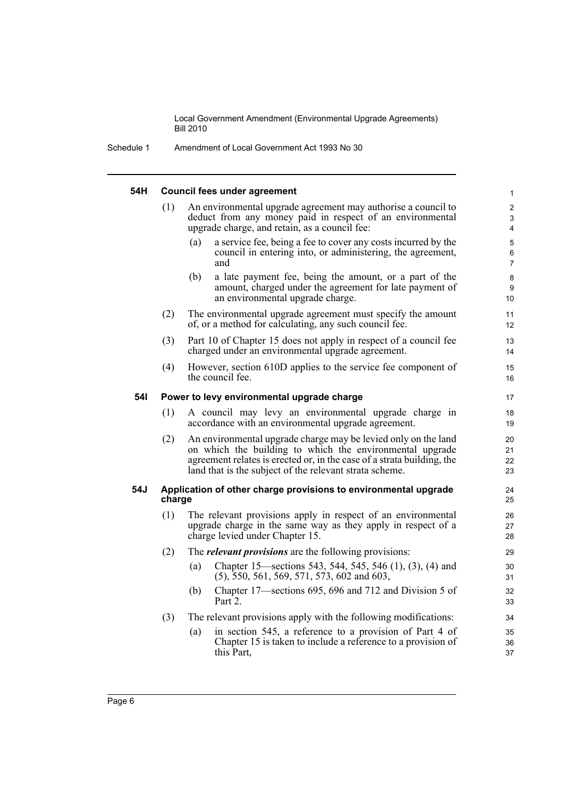Schedule 1 Amendment of Local Government Act 1993 No 30

| 54H |                                            | <b>Council fees under agreement</b>                                                                                                                                                                                                                             | $\mathbf{1}$             |
|-----|--------------------------------------------|-----------------------------------------------------------------------------------------------------------------------------------------------------------------------------------------------------------------------------------------------------------------|--------------------------|
|     | (1)                                        | An environmental upgrade agreement may authorise a council to<br>deduct from any money paid in respect of an environmental<br>upgrade charge, and retain, as a council fee:                                                                                     | $\overline{2}$<br>3<br>4 |
|     |                                            | (a)<br>a service fee, being a fee to cover any costs incurred by the<br>council in entering into, or administering, the agreement,<br>and                                                                                                                       | 5<br>6<br>$\overline{7}$ |
|     |                                            | (b)<br>a late payment fee, being the amount, or a part of the<br>amount, charged under the agreement for late payment of<br>an environmental upgrade charge.                                                                                                    | 8<br>9<br>10             |
|     | (2)                                        | The environmental upgrade agreement must specify the amount<br>of, or a method for calculating, any such council fee.                                                                                                                                           | 11<br>12                 |
|     | (3)                                        | Part 10 of Chapter 15 does not apply in respect of a council fee<br>charged under an environmental upgrade agreement.                                                                                                                                           | 13<br>14                 |
|     | (4)                                        | However, section 610D applies to the service fee component of<br>the council fee.                                                                                                                                                                               | 15<br>16                 |
| 54I | Power to levy environmental upgrade charge |                                                                                                                                                                                                                                                                 |                          |
|     | (1)                                        | A council may levy an environmental upgrade charge in<br>accordance with an environmental upgrade agreement.                                                                                                                                                    | 18<br>19                 |
|     | (2)                                        | An environmental upgrade charge may be levied only on the land<br>on which the building to which the environmental upgrade<br>agreement relates is erected or, in the case of a strata building, the<br>land that is the subject of the relevant strata scheme. | 20<br>21<br>22<br>23     |
| 54J | charge                                     | Application of other charge provisions to environmental upgrade                                                                                                                                                                                                 | 24<br>25                 |
|     | (1)                                        | The relevant provisions apply in respect of an environmental<br>upgrade charge in the same way as they apply in respect of a<br>charge levied under Chapter 15.                                                                                                 | 26<br>27<br>28           |
|     | (2)                                        | The <i>relevant provisions</i> are the following provisions:                                                                                                                                                                                                    | 29                       |
|     |                                            | Chapter 15—sections 543, 544, 545, 546 (1), (3), (4) and<br>(a)<br>$(5)$ , 550, 561, 569, 571, 573, 602 and 603,                                                                                                                                                | 30<br>31                 |
|     |                                            | Chapter 17—sections 695, 696 and 712 and Division 5 of<br>(b)<br>Part 2.                                                                                                                                                                                        | 32<br>33                 |
|     | (3)                                        | The relevant provisions apply with the following modifications:                                                                                                                                                                                                 | 34                       |
|     |                                            | in section 545, a reference to a provision of Part 4 of<br>(a)<br>Chapter 15 is taken to include a reference to a provision of<br>this Part,                                                                                                                    | 35<br>36<br>37           |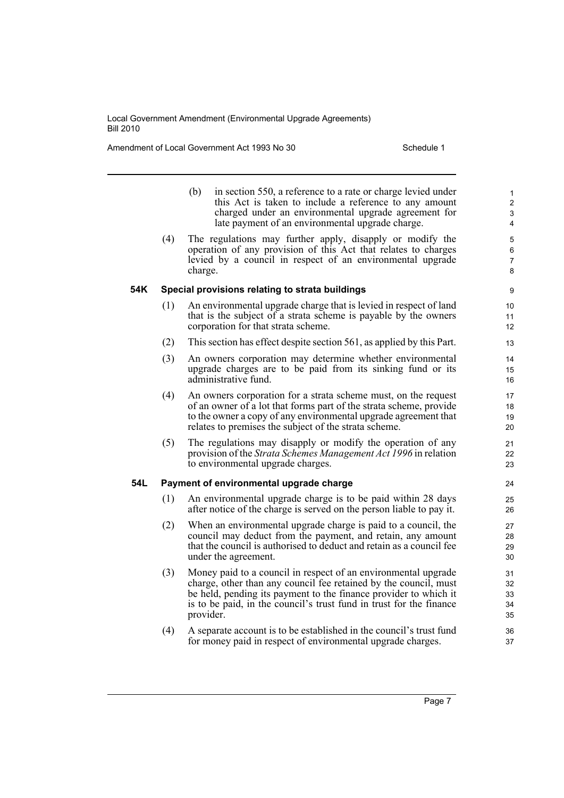Amendment of Local Government Act 1993 No 30 Schedule 1

- (b) in section 550, a reference to a rate or charge levied under this Act is taken to include a reference to any amount charged under an environmental upgrade agreement for late payment of an environmental upgrade charge.
- (4) The regulations may further apply, disapply or modify the operation of any provision of this Act that relates to charges levied by a council in respect of an environmental upgrade charge.

### **54K Special provisions relating to strata buildings**

- (1) An environmental upgrade charge that is levied in respect of land that is the subject of a strata scheme is payable by the owners corporation for that strata scheme.
- (2) This section has effect despite section 561, as applied by this Part.
- (3) An owners corporation may determine whether environmental upgrade charges are to be paid from its sinking fund or its administrative fund.
- (4) An owners corporation for a strata scheme must, on the request of an owner of a lot that forms part of the strata scheme, provide to the owner a copy of any environmental upgrade agreement that relates to premises the subject of the strata scheme.
- (5) The regulations may disapply or modify the operation of any provision of the *Strata Schemes Management Act 1996* in relation to environmental upgrade charges.

## **54L Payment of environmental upgrade charge**

- (1) An environmental upgrade charge is to be paid within 28 days after notice of the charge is served on the person liable to pay it.
- (2) When an environmental upgrade charge is paid to a council, the council may deduct from the payment, and retain, any amount that the council is authorised to deduct and retain as a council fee under the agreement.
- (3) Money paid to a council in respect of an environmental upgrade charge, other than any council fee retained by the council, must be held, pending its payment to the finance provider to which it is to be paid, in the council's trust fund in trust for the finance provider.
- (4) A separate account is to be established in the council's trust fund for money paid in respect of environmental upgrade charges.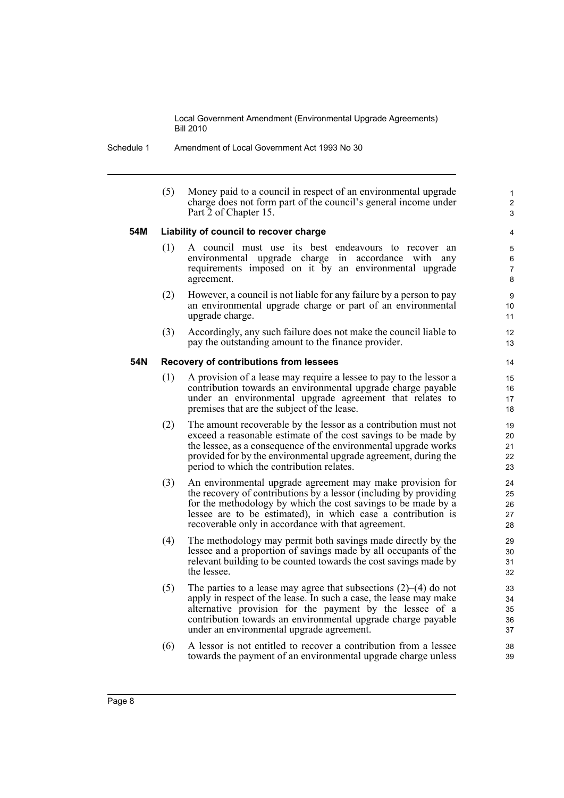Schedule 1 Amendment of Local Government Act 1993 No 30

(5) Money paid to a council in respect of an environmental upgrade charge does not form part of the council's general income under Part 2 of Chapter 15.

1 2 3

## **54M Liability of council to recover charge**

- (1) A council must use its best endeavours to recover an environmental upgrade charge in accordance with any requirements imposed on it by an environmental upgrade agreement.
- (2) However, a council is not liable for any failure by a person to pay an environmental upgrade charge or part of an environmental upgrade charge.
- (3) Accordingly, any such failure does not make the council liable to pay the outstanding amount to the finance provider.

### **54N Recovery of contributions from lessees**

- (1) A provision of a lease may require a lessee to pay to the lessor a contribution towards an environmental upgrade charge payable under an environmental upgrade agreement that relates to premises that are the subject of the lease.
- (2) The amount recoverable by the lessor as a contribution must not exceed a reasonable estimate of the cost savings to be made by the lessee, as a consequence of the environmental upgrade works provided for by the environmental upgrade agreement, during the period to which the contribution relates.
- (3) An environmental upgrade agreement may make provision for the recovery of contributions by a lessor (including by providing for the methodology by which the cost savings to be made by a lessee are to be estimated), in which case a contribution is recoverable only in accordance with that agreement.
- (4) The methodology may permit both savings made directly by the lessee and a proportion of savings made by all occupants of the relevant building to be counted towards the cost savings made by the lessee.
- (5) The parties to a lease may agree that subsections (2)–(4) do not apply in respect of the lease. In such a case, the lease may make alternative provision for the payment by the lessee of a contribution towards an environmental upgrade charge payable under an environmental upgrade agreement.
- (6) A lessor is not entitled to recover a contribution from a lessee towards the payment of an environmental upgrade charge unless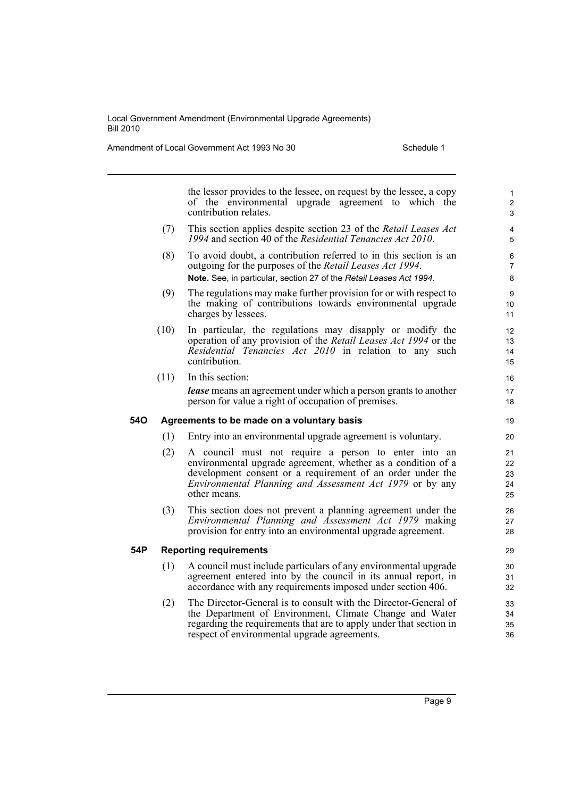Amendment of Local Government Act 1993 No 30 Schedule 1

**54P Reporting requirements**

|     |      | the lessor provides to the lessee, on request by the lessee, a copy<br>of the environmental upgrade agreement to which the<br>contribution relates.                                                                                                                   | $\mathbf{1}$<br>$\overline{2}$<br>3 |
|-----|------|-----------------------------------------------------------------------------------------------------------------------------------------------------------------------------------------------------------------------------------------------------------------------|-------------------------------------|
|     | (7)  | This section applies despite section 23 of the Retail Leases Act<br>1994 and section 40 of the Residential Tenancies Act 2010.                                                                                                                                        | 4<br>5                              |
|     | (8)  | To avoid doubt, a contribution referred to in this section is an<br>outgoing for the purposes of the Retail Leases Act 1994.<br>Note. See, in particular, section 27 of the Retail Leases Act 1994.                                                                   | 6<br>7<br>8                         |
|     | (9)  | The regulations may make further provision for or with respect to<br>the making of contributions towards environmental upgrade<br>charges by lessees.                                                                                                                 | $\boldsymbol{9}$<br>10<br>11        |
|     | (10) | In particular, the regulations may disapply or modify the<br>operation of any provision of the Retail Leases Act 1994 or the<br>Residential Tenancies Act 2010 in relation to any such<br>contribution.                                                               | 12<br>13<br>14<br>15                |
|     | (11) | In this section:<br><b>lease</b> means an agreement under which a person grants to another<br>person for value a right of occupation of premises.                                                                                                                     | 16<br>17<br>18                      |
| 54O |      | Agreements to be made on a voluntary basis                                                                                                                                                                                                                            | 19                                  |
|     | (1)  | Entry into an environmental upgrade agreement is voluntary.                                                                                                                                                                                                           | 20                                  |
|     | (2)  | A council must not require a person to enter into an<br>environmental upgrade agreement, whether as a condition of a<br>development consent or a requirement of an order under the<br><i>Environmental Planning and Assessment Act 1979</i> or by any<br>other means. | 21<br>22<br>23<br>24<br>25          |
|     | (3)  | This section does not prevent a planning agreement under the<br>Environmental Planning and Assessment Act 1979 making<br>provision for entry into an environmental upgrade agreement.                                                                                 | 26<br>27<br>28                      |
| 54P |      | <b>Reporting requirements</b>                                                                                                                                                                                                                                         | 29                                  |
|     | (1)  | A council must include particulars of any environmental upgrade<br>agreement entered into by the council in its annual report, in<br>accordance with any requirements imposed under section 406.                                                                      | 30<br>31<br>32                      |
|     | (2)  | The Director-General is to consult with the Director-General of<br>the Department of Environment, Climate Change and Water<br>regarding the requirements that are to apply under that section in                                                                      | 33<br>34<br>35                      |

respect of environmental upgrade agreements.

36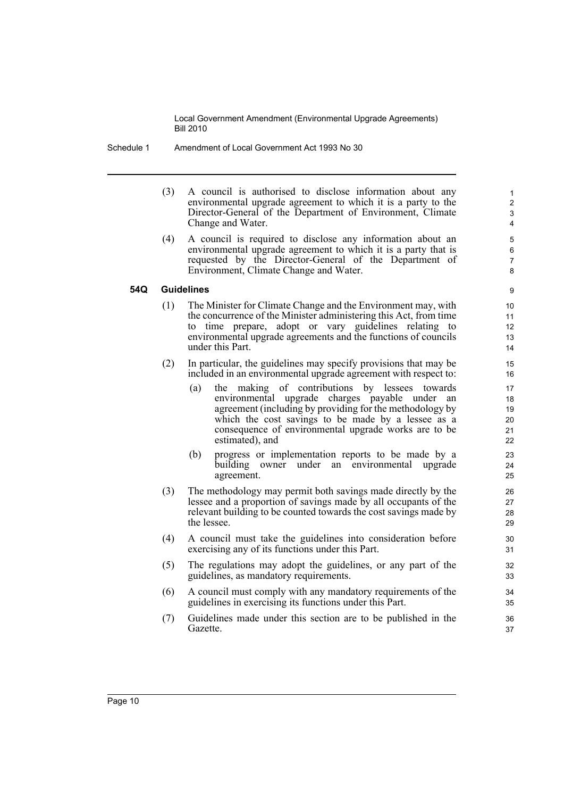- Schedule 1 Amendment of Local Government Act 1993 No 30
	- (3) A council is authorised to disclose information about any environmental upgrade agreement to which it is a party to the Director-General of the Department of Environment, Climate Change and Water.

(4) A council is required to disclose any information about an environmental upgrade agreement to which it is a party that is requested by the Director-General of the Department of Environment, Climate Change and Water.

## **54Q Guidelines**

- (1) The Minister for Climate Change and the Environment may, with the concurrence of the Minister administering this Act, from time to time prepare, adopt or vary guidelines relating to environmental upgrade agreements and the functions of councils under this Part.
- (2) In particular, the guidelines may specify provisions that may be included in an environmental upgrade agreement with respect to:
	- (a) the making of contributions by lessees towards environmental upgrade charges payable under an agreement (including by providing for the methodology by which the cost savings to be made by a lessee as a consequence of environmental upgrade works are to be estimated), and
	- (b) progress or implementation reports to be made by a building owner under an environmental upgrade agreement.
- (3) The methodology may permit both savings made directly by the lessee and a proportion of savings made by all occupants of the relevant building to be counted towards the cost savings made by the lessee.
- (4) A council must take the guidelines into consideration before exercising any of its functions under this Part.
- (5) The regulations may adopt the guidelines, or any part of the guidelines, as mandatory requirements.
- (6) A council must comply with any mandatory requirements of the guidelines in exercising its functions under this Part.
- (7) Guidelines made under this section are to be published in the Gazette.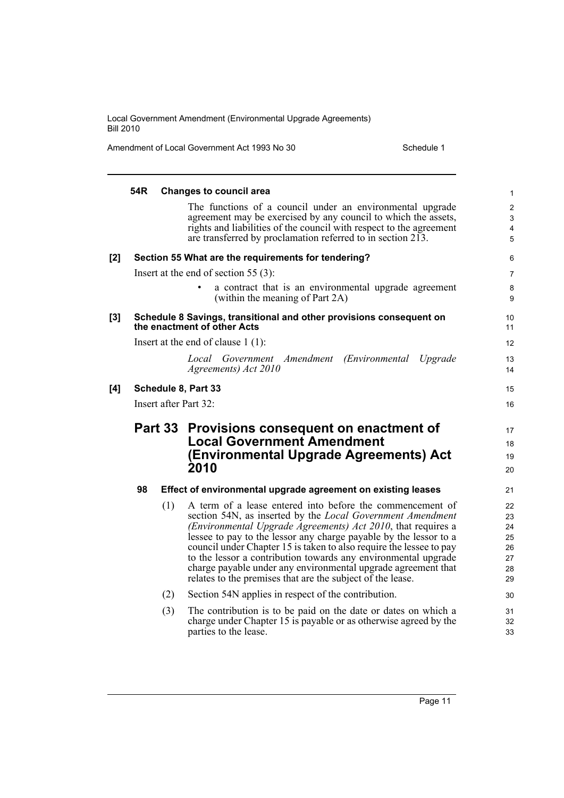Amendment of Local Government Act 1993 No 30 Schedule 1

|       | 54R                   |     | <b>Changes to council area</b>                                                                                                           | $\mathbf{1}$     |
|-------|-----------------------|-----|------------------------------------------------------------------------------------------------------------------------------------------|------------------|
|       |                       |     | The functions of a council under an environmental upgrade                                                                                | 2                |
|       |                       |     | agreement may be exercised by any council to which the assets,<br>rights and liabilities of the council with respect to the agreement    | $\mathsf 3$<br>4 |
|       |                       |     | are transferred by proclamation referred to in section 213.                                                                              | 5                |
| [2]   |                       |     | Section 55 What are the requirements for tendering?                                                                                      | 6                |
|       |                       |     | Insert at the end of section 55 $(3)$ :                                                                                                  | 7                |
|       |                       |     | a contract that is an environmental upgrade agreement<br>(within the meaning of Part 2A)                                                 | 8<br>9           |
| $[3]$ |                       |     | Schedule 8 Savings, transitional and other provisions consequent on<br>the enactment of other Acts                                       | 10<br>11         |
|       |                       |     | Insert at the end of clause $1(1)$ :                                                                                                     | 12               |
|       |                       |     | Local Government Amendment<br>(Environmental Upgrade                                                                                     | 13               |
|       |                       |     | Agreements) Act 2010                                                                                                                     | 14               |
| [4]   |                       |     | Schedule 8, Part 33                                                                                                                      | 15               |
|       | Insert after Part 32: |     |                                                                                                                                          |                  |
|       |                       |     |                                                                                                                                          |                  |
|       |                       |     |                                                                                                                                          | 17               |
|       |                       |     | Part 33 Provisions consequent on enactment of<br><b>Local Government Amendment</b>                                                       | 18               |
|       |                       |     | (Environmental Upgrade Agreements) Act                                                                                                   | 19               |
|       |                       |     | 2010                                                                                                                                     | 20               |
|       | 98                    |     | Effect of environmental upgrade agreement on existing leases                                                                             | 21               |
|       |                       | (1) | A term of a lease entered into before the commencement of                                                                                | 22               |
|       |                       |     | section 54N, as inserted by the <i>Local Government Amendment</i>                                                                        | 23               |
|       |                       |     | (Environmental Upgrade Agreements) Act 2010, that requires a                                                                             | 24<br>25         |
|       |                       |     | lessee to pay to the lessor any charge payable by the lessor to a<br>council under Chapter 15 is taken to also require the lessee to pay | 26               |
|       |                       |     | to the lessor a contribution towards any environmental upgrade                                                                           | 27               |
|       |                       |     | charge payable under any environmental upgrade agreement that<br>relates to the premises that are the subject of the lease.              | 28<br>29         |
|       |                       | (2) | Section 54N applies in respect of the contribution.                                                                                      | 30               |